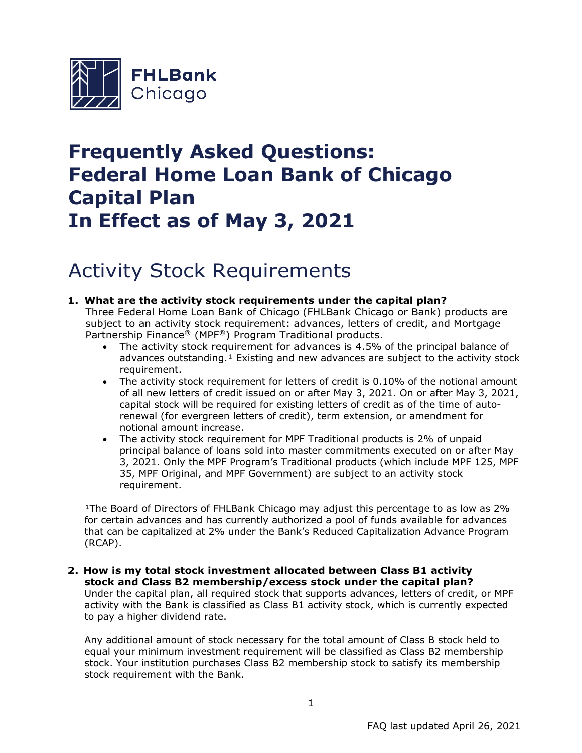

# **Frequently Asked Questions: Federal Home Loan Bank of Chicago Capital Plan In Effect as of May 3, 2021**

## Activity Stock Requirements

- **1. What are the activity stock requirements under the capital plan?** Three Federal Home Loan Bank of Chicago (FHLBank Chicago or Bank) products are subject to an activity stock requirement: advances, letters of credit, and Mortgage Partnership Finance® (MPF®) Program Traditional products.
	- The activity stock requirement for advances is 4.5% of the principal balance of advances outstanding.<sup>1</sup> Existing and new advances are subject to the activity stock requirement.
	- The activity stock requirement for letters of credit is 0.10% of the notional amount of all new letters of credit issued on or after May 3, 2021. On or after May 3, 2021, capital stock will be required for existing letters of credit as of the time of autorenewal (for evergreen letters of credit), term extension, or amendment for notional amount increase.
	- The activity stock requirement for MPF Traditional products is 2% of unpaid principal balance of loans sold into master commitments executed on or after May 3, 2021. Only the MPF Program's Traditional products (which include MPF 125, MPF 35, MPF Original, and MPF Government) are subject to an activity stock requirement.

<sup>1</sup>The Board of Directors of FHLBank Chicago may adjust this percentage to as low as  $2\%$ for certain advances and has currently authorized a pool of funds available for advances that can be capitalized at 2% under the Bank's Reduced Capitalization Advance Program (RCAP).

**2. How is my total stock investment allocated between Class B1 activity stock and Class B2 membership/excess stock under the capital plan?** Under the capital plan, all required stock that supports advances, letters of credit, or MPF activity with the Bank is classified as Class B1 activity stock, which is currently expected to pay a higher dividend rate.

Any additional amount of stock necessary for the total amount of Class B stock held to equal your minimum investment requirement will be classified as Class B2 membership stock. Your institution purchases Class B2 membership stock to satisfy its membership stock requirement with the Bank.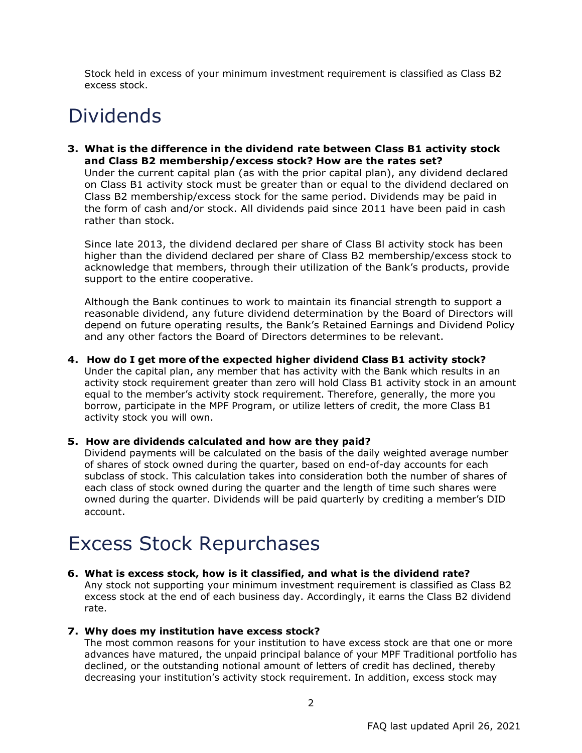Stock held in excess of your minimum investment requirement is classified as Class B2 excess stock.

# Dividends

**3. What is the difference in the dividend rate between Class B1 activity stock and Class B2 membership/excess stock? How are the rates set?**

Under the current capital plan (as with the prior capital plan), any dividend declared on Class B1 activity stock must be greater than or equal to the dividend declared on Class B2 membership/excess stock for the same period. Dividends may be paid in the form of cash and/or stock. All dividends paid since 2011 have been paid in cash rather than stock.

Since late 2013, the dividend declared per share of Class Bl activity stock has been higher than the dividend declared per share of Class B2 membership/excess stock to acknowledge that members, through their utilization of the Bank's products, provide support to the entire cooperative.

Although the Bank continues to work to maintain its financial strength to support a reasonable dividend, any future dividend determination by the Board of Directors will depend on future operating results, the Bank's Retained Earnings and Dividend Policy and any other factors the Board of Directors determines to be relevant.

**4. How do I get more of the expected higher dividend Class B1 activity stock?** Under the capital plan, any member that has activity with the Bank which results in an activity stock requirement greater than zero will hold Class B1 activity stock in an amount equal to the member's activity stock requirement. Therefore, generally, the more you borrow, participate in the MPF Program, or utilize letters of credit, the more Class B1 activity stock you will own.

#### **5. How are dividends calculated and how are they paid?**

Dividend payments will be calculated on the basis of the daily weighted average number of shares of stock owned during the quarter, based on end-of-day accounts for each subclass of stock. This calculation takes into consideration both the number of shares of each class of stock owned during the quarter and the length of time such shares were owned during the quarter. Dividends will be paid quarterly by crediting a member's DID account.

### Excess Stock Repurchases

#### **6. What is excess stock, how is it classified, and what is the dividend rate?**

Any stock not supporting your minimum investment requirement is classified as Class B2 excess stock at the end of each business day. Accordingly, it earns the Class B2 dividend rate.

#### **7. Why does my institution have excess stock?**

The most common reasons for your institution to have excess stock are that one or more advances have matured, the unpaid principal balance of your MPF Traditional portfolio has declined, or the outstanding notional amount of letters of credit has declined, thereby decreasing your institution's activity stock requirement. In addition, excess stock may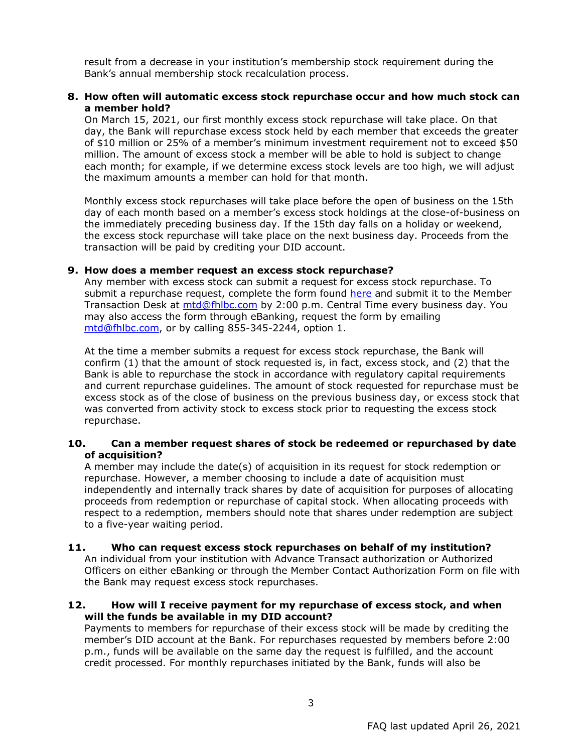result from a decrease in your institution's membership stock requirement during the Bank's annual membership stock recalculation process.

#### **8. How often will automatic excess stock repurchase occur and how much stock can a member hold?**

On March 15, 2021, our first monthly excess stock repurchase will take place. On that day, the Bank will repurchase excess stock held by each member that exceeds the greater of \$10 million or 25% of a member's minimum investment requirement not to exceed \$50 million. The amount of excess stock a member will be able to hold is subject to change each month; for example, if we determine excess stock levels are too high, we will adjust the maximum amounts a member can hold for that month.

Monthly excess stock repurchases will take place before the open of business on the 15th day of each month based on a member's excess stock holdings at the close-of-business on the immediately preceding business day. If the 15th day falls on a holiday or weekend, the excess stock repurchase will take place on the next business day. Proceeds from the transaction will be paid by crediting your DID account.

#### **9. How does a member request an excess stock repurchase?**

Any member with excess stock can submit a request for excess stock repurchase. To submit a repurchase request, complete the form found [here](https://fhlbc.com/docs/default-source/news/2021-news/excess-capital-stock-repurchase-form.pdf) and submit it to the Member Transaction Desk at [mtd@fhlbc.com](mailto:mtd@fhlbc.com) by 2:00 p.m. Central Time every business day. You may also access the form through eBanking, request the form by emailing [mtd@fhlbc.com,](mailto:mtd@fhlbc.com) or by calling 855-345-2244, option 1.

At the time a member submits a request for excess stock repurchase, the Bank will confirm (1) that the amount of stock requested is, in fact, excess stock, and (2) that the Bank is able to repurchase the stock in accordance with regulatory capital requirements and current repurchase guidelines. The amount of stock requested for repurchase must be excess stock as of the close of business on the previous business day, or excess stock that was converted from activity stock to excess stock prior to requesting the excess stock repurchase.

#### **10. Can a member request shares of stock be redeemed or repurchased by date of acquisition?**

A member may include the date(s) of acquisition in its request for stock redemption or repurchase. However, a member choosing to include a date of acquisition must independently and internally track shares by date of acquisition for purposes of allocating proceeds from redemption or repurchase of capital stock. When allocating proceeds with respect to a redemption, members should note that shares under redemption are subject to a five-year waiting period.

#### **11. Who can request excess stock repurchases on behalf of my institution?**

An individual from your institution with Advance Transact authorization or Authorized Officers on either eBanking or through the Member Contact Authorization Form on file with the Bank may request excess stock repurchases.

#### **12. How will I receive payment for my repurchase of excess stock, and when will the funds be available in my DID account?**

Payments to members for repurchase of their excess stock will be made by crediting the member's DID account at the Bank. For repurchases requested by members before 2:00 p.m., funds will be available on the same day the request is fulfilled, and the account credit processed. For monthly repurchases initiated by the Bank, funds will also be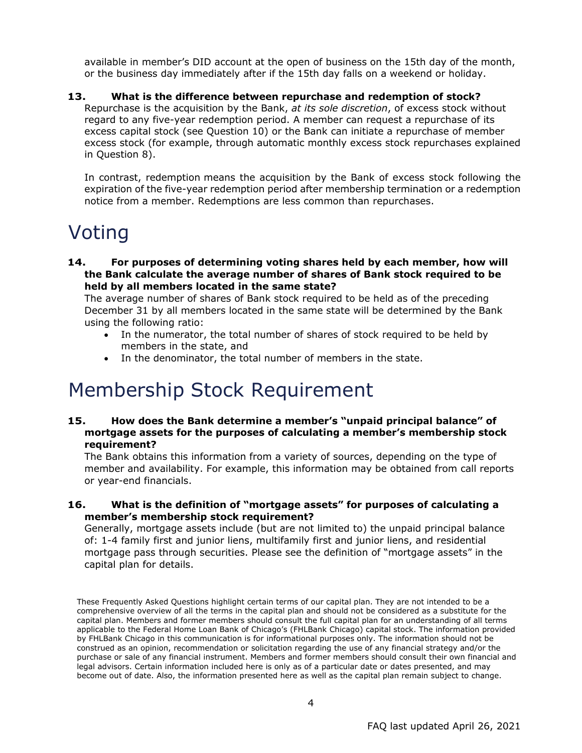available in member's DID account at the open of business on the 15th day of the month, or the business day immediately after if the 15th day falls on a weekend or holiday.

### **13. What is the difference between repurchase and redemption of stock?**

Repurchase is the acquisition by the Bank, *at its sole discretion*, of excess stock without regard to any five-year redemption period. A member can request a repurchase of its excess capital stock (see Question 10) or the Bank can initiate a repurchase of member excess stock (for example, through automatic monthly excess stock repurchases explained in Question 8).

In contrast, redemption means the acquisition by the Bank of excess stock following the expiration of the five-year redemption period after membership termination or a redemption notice from a member. Redemptions are less common than repurchases.

## Voting

**14. For purposes of determining voting shares held by each member, how will the Bank calculate the average number of shares of Bank stock required to be held by all members located in the same state?**

The average number of shares of Bank stock required to be held as of the preceding December 31 by all members located in the same state will be determined by the Bank using the following ratio:

- In the numerator, the total number of shares of stock required to be held by members in the state, and
- In the denominator, the total number of members in the state.

### Membership Stock Requirement

#### **15. How does the Bank determine a member's "unpaid principal balance" of mortgage assets for the purposes of calculating a member's membership stock requirement?**

The Bank obtains this information from a variety of sources, depending on the type of member and availability. For example, this information may be obtained from call reports or year-end financials.

#### **16. What is the definition of "mortgage assets" for purposes of calculating a member's membership stock requirement?**

Generally, mortgage assets include (but are not limited to) the unpaid principal balance of: 1-4 family first and junior liens, multifamily first and junior liens, and residential mortgage pass through securities. Please see the definition of "mortgage assets" in the capital plan for details.

These Frequently Asked Questions highlight certain terms of our capital plan. They are not intended to be a comprehensive overview of all the terms in the capital plan and should not be considered as a substitute for the capital plan. Members and former members should consult the full capital plan for an understanding of all terms applicable to the Federal Home Loan Bank of Chicago's (FHLBank Chicago) capital stock. The information provided by FHLBank Chicago in this communication is for informational purposes only. The information should not be construed as an opinion, recommendation or solicitation regarding the use of any financial strategy and/or the purchase or sale of any financial instrument. Members and former members should consult their own financial and legal advisors. Certain information included here is only as of a particular date or dates presented, and may become out of date. Also, the information presented here as well as the capital plan remain subject to change.